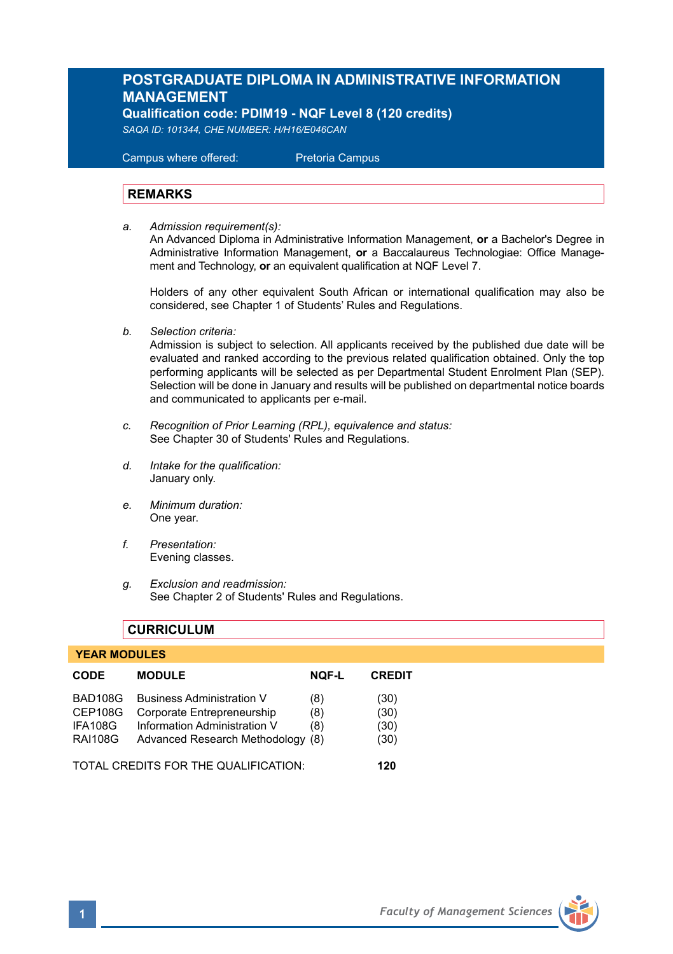# **POSTGRADUATE DIPLOMA IN ADMINISTRATIVE INFORMATION MANAGEMENT**

**Qualification code: PDIM19 - NQF Level 8 (120 credits)** 

*SAQA ID: 101344, CHE NUMBER: H/H16/E046CAN* 

 Campus where offered: Pretoria Campus

#### **REMARKS**

*a. Admission requirement(s):*  An Advanced Diploma in Administrative Information Management, **or** a Bachelor's Degree in Administrative Information Management, **or** a Baccalaureus Technologiae: Office Management and Technology, **or** an equivalent qualification at NQF Level 7.

Holders of any other equivalent South African or international qualification may also be considered, see Chapter 1 of Students' Rules and Regulations.

*b. Selection criteria:*

Admission is subject to selection. All applicants received by the published due date will be evaluated and ranked according to the previous related qualification obtained. Only the top performing applicants will be selected as per Departmental Student Enrolment Plan (SEP). Selection will be done in January and results will be published on departmental notice boards and communicated to applicants per e-mail.

- *c. Recognition of Prior Learning (RPL), equivalence and status:* See Chapter 30 of Students' Rules and Regulations.
- *d. Intake for the qualification:* January only.
- *e. Minimum duration:* One year.
- *f. Presentation:* Evening classes.
- *g. Exclusion and readmission:* See Chapter 2 of Students' Rules and Regulations.

# **CURRICULUM**

#### **YEAR MODULES**

| <b>CODE</b>                          | <b>MODULE</b>                     | <b>NOF-L</b> | <b>CREDIT</b> |
|--------------------------------------|-----------------------------------|--------------|---------------|
| BAD108G                              | <b>Business Administration V</b>  | (8)          | (30)          |
| CEP108G                              | Corporate Entrepreneurship        | (8)          | (30)          |
| IFA108G                              | Information Administration V      | (8)          | (30)          |
| <b>RAI108G</b>                       | Advanced Research Methodology (8) |              | (30)          |
| TOTAL CREDITS FOR THE QUALIFICATION: |                                   |              | 120           |